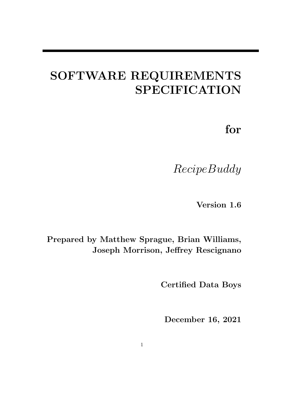# SOFTWARE REQUIREMENTS SPECIFICATION

for

RecipeBuddy

Version 1.6

Prepared by Matthew Sprague, Brian Williams, Joseph Morrison, Jeffrey Rescignano

Certified Data Boys

December 16, 2021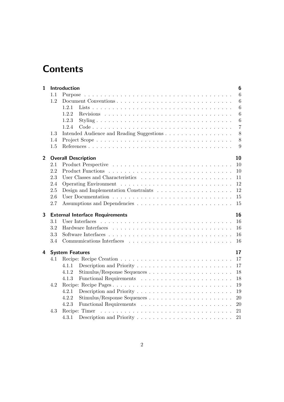# <span id="page-1-0"></span>**Contents**

| 1              |     | Introduction<br>6                              |
|----------------|-----|------------------------------------------------|
|                | 1.1 | $6\phantom{.}6$<br>Purpose                     |
|                | 1.2 | 6                                              |
|                |     | 6<br>1.2.1                                     |
|                |     | 1.2.2<br>$6\phantom{.}6$                       |
|                |     | $\boldsymbol{6}$<br>1.2.3                      |
|                |     | $\overline{7}$<br>1.2.4                        |
|                | 1.3 | 8<br>Intended Audience and Reading Suggestions |
|                | 1.4 | 8                                              |
|                | 1.5 | 9                                              |
| $\overline{2}$ |     | <b>Overall Description</b><br>10               |
|                | 2.1 | 10                                             |
|                | 2.2 | 10                                             |
|                | 2.3 | 11                                             |
|                | 2.4 | 12                                             |
|                | 2.5 | 12                                             |
|                | 2.6 | $15\,$                                         |
|                | 2.7 | 15                                             |
| 3              |     | <b>External Interface Requirements</b><br>16   |
|                | 3.1 | 16                                             |
|                | 3.2 | 16                                             |
|                | 3.3 | 16                                             |
|                | 3.4 | 16                                             |
| 4              |     | 17<br><b>System Features</b>                   |
|                | 4.1 | 17                                             |
|                |     | 17<br>4.1.1                                    |
|                |     | 4.1.2<br>18                                    |
|                |     | 18<br>4.1.3                                    |
|                | 4.2 | Recipe: Recipe Pages<br>19                     |
|                |     | 4.2.1<br>19                                    |
|                |     | 4.2.2<br>20                                    |
|                |     | 4.2.3<br>20                                    |
|                | 4.3 | 21                                             |
|                |     | 4.3.1<br>21                                    |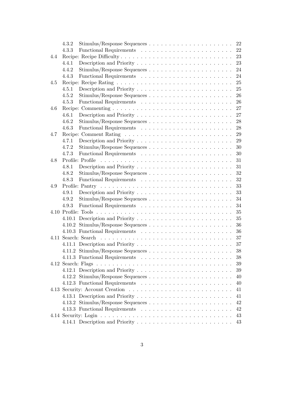|     | 4.3.2 | $Stimulus/Response\ Sequences$ | 22 |
|-----|-------|--------------------------------|----|
|     | 4.3.3 |                                | 22 |
| 4.4 |       |                                | 23 |
|     | 4.4.1 |                                | 23 |
|     | 4.4.2 |                                | 24 |
|     | 4.4.3 |                                | 24 |
| 4.5 |       |                                | 25 |
|     | 4.5.1 |                                | 25 |
|     | 4.5.2 |                                | 26 |
|     | 4.5.3 |                                | 26 |
| 4.6 |       |                                | 27 |
|     | 4.6.1 |                                | 27 |
|     | 4.6.2 |                                | 28 |
|     | 4.6.3 |                                | 28 |
| 4.7 |       |                                | 29 |
|     | 4.7.1 |                                | 29 |
|     | 4.7.2 |                                | 30 |
|     | 4.7.3 |                                | 30 |
| 4.8 |       |                                | 31 |
|     | 4.8.1 |                                | 31 |
|     | 4.8.2 |                                | 32 |
|     | 4.8.3 |                                | 32 |
| 4.9 |       |                                | 33 |
|     | 4.9.1 |                                | 33 |
|     | 4.9.2 |                                | 34 |
|     | 4.9.3 |                                | 34 |
|     |       |                                | 35 |
|     |       |                                | 35 |
|     |       |                                | 36 |
|     |       |                                | 36 |
|     |       |                                | 37 |
|     |       |                                | 37 |
|     |       |                                | 38 |
|     |       |                                | 38 |
|     |       | 4.12 Search: Flags             | 39 |
|     |       |                                | 39 |
|     |       |                                | 40 |
|     |       |                                | 40 |
|     |       |                                | 41 |
|     |       |                                | 41 |
|     |       |                                | 42 |
|     |       |                                | 42 |
|     |       |                                | 43 |
|     |       |                                | 43 |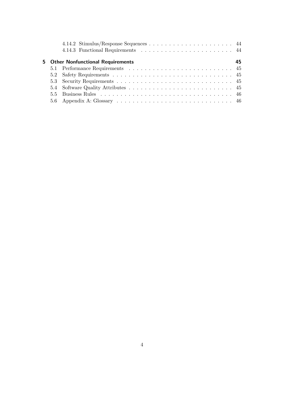<span id="page-3-0"></span>

|  | 5 Other Nonfunctional Requirements | 45 |
|--|------------------------------------|----|
|  |                                    |    |
|  |                                    |    |
|  |                                    |    |
|  |                                    |    |
|  |                                    |    |
|  |                                    |    |
|  |                                    |    |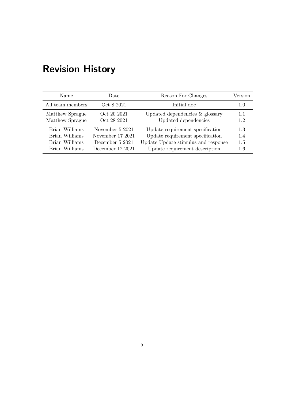| Name             | Date             | Reason For Changes                  | Version |
|------------------|------------------|-------------------------------------|---------|
| All team members | Oct 8 2021       | Initial doc                         | 1.0     |
| Matthew Sprague  | Oct 20 2021      | Updated dependencies & glossary     | 1.1     |
| Matthew Sprague  | Oct 28 2021      | Updated dependencies                | 1.2     |
| Brian Williams   | November 5 2021  | Update requirement specification    | 1.3     |
| Brian Williams   | November 17 2021 | Update requirement specification    | 1.4     |
| Brian Williams   | December 5 2021  | Update Update stimulus and response | 1.5     |
| Brian Williams   | December 12 2021 | Update requirement description      | 1.6     |

# Revision History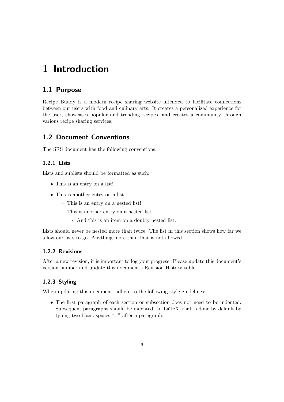# <span id="page-5-6"></span><span id="page-5-0"></span>1 Introduction

# <span id="page-5-1"></span>1.1 Purpose

[Recipe Buddy](#page-47-1) is a modern recipe sharing website intended to facilitate connections between our users with food and culinary arts. It creates a personalized experience for the user, showcases popular and trending recipes, and creates a community through various recipe sharing services.

### <span id="page-5-2"></span>1.2 Document Conventions

The SRS document has the following conventions:

#### <span id="page-5-3"></span>1.2.1 Lists

Lists and sublists should be formatted as such:

- This is an entry on a list!
- This is another entry on a list.
	- This is an entry on a nested list!
	- This is another entry on a nested list.
		- ∗ And this is an item on a doubly nested list.

Lists should never be nested more than twice. The list in this section shows how far we allow our lists to go. Anything more than that is not allowed.

#### <span id="page-5-4"></span>1.2.2 Revisions

After a new revision, it is important to log your progress. Please update this document's version number and update this document's Revision History table.

#### <span id="page-5-5"></span>1.2.3 Styling

When updating this document, adhere to the following style guidelines:

• The first paragraph of each section or subsection does not need to be indented. Subsequent paragraphs should be indented. In [LaTeX,](#page-46-1) that is done by default by typing two blank spaces " " after a paragraph.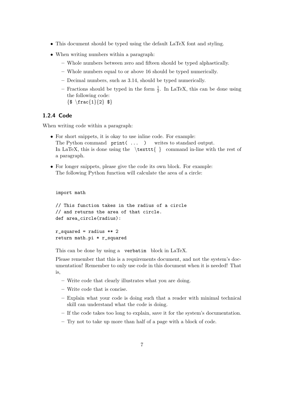- <span id="page-6-1"></span>• This document should be typed using the default [LaTeX](#page-46-1) font and styling.
- When writing numbers within a paragraph:
	- Whole numbers between zero and fifteen should be typed alphaetically.
	- Whole numbers equal to or above 16 should be typed numerically.
	- Decimal numbers, such as 3.14, should be typed numerically.
	- Fractions should be typed in the form  $\frac{1}{2}$ . In [LaTeX,](#page-46-1) this can be done using the following code:  ${\$ \ \frac{1}{2} \$
	-

#### <span id="page-6-0"></span>1.2.4 Code

When writing code within a paragraph:

- For short snippets, it is okay to use inline code. For example: The [Python](#page-47-2) command print (... ) writes to standard output. In [LaTeX,](#page-46-1) this is done using the  $\text{ } \text{ } \text{ } \text{ }$  command in-line with the rest of a paragraph.
- For longer snippets, please give the code its own block. For example: The following [Python](#page-47-2) function will calculate the area of a circle:

```
import math
```

```
// This function takes in the radius of a circle
// and returns the area of that circle.
def area_circle(radius):
r_squared = radius ** 2return math.pi * r_squared
```
This can be done by using a verbatim block in [LaTeX.](#page-46-1)

Please remember that this is a requirements document, and not the system's [doc](#page-46-2)[umentation!](#page-46-2) Remember to only use code in this document when it is needed! That is,

- Write code that clearly illustrates what you are doing.
- Write code that is concise.
- Explain what your code is doing such that a reader with minimal technical skill can understand what the code is doing.
- If the code takes too long to explain, save it for the system's [documentation.](#page-46-2)
- Try not to take up more than half of a page with a block of code.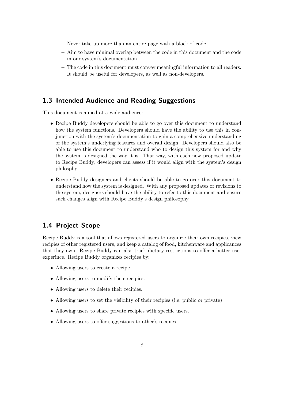- <span id="page-7-2"></span>– Never take up more than an entire page with a block of code.
- Aim to have minimal overlap between the code in this document and the code in our system's [documentation.](#page-46-2)
- The code in this document must convey meaningful information to all readers. It should be useful for developers, as well as non-developers.

#### <span id="page-7-0"></span>1.3 Intended Audience and Reading Suggestions

This document is aimed at a wide audience:

- [Recipe Buddy](#page-47-1) developers should be able to go over this document to understand how the system functions. Developers should have the ability to use this in conjunction with the system's [documentation](#page-46-2) to gain a comprehensive understanding of the system's underlying features and overall design. Developers should also be able to use this document to understand who to design this system for and why the system is designed the way it is. That way, with each new proposed update to [Recipe Buddy,](#page-47-1) developers can assess if it would align with the system's design philosphy.
- [Recipe Buddy](#page-47-1) designers and clients should be able to go over this document to understand how the system is designed. With any proposed updates or revisions to the system, designers should have the ability to refer to this document and ensure such changes align with [Recipe Buddy'](#page-47-1)s design philosophy.

# <span id="page-7-1"></span>1.4 Project Scope

[Recipe Buddy](#page-47-1) is a tool that allows registered users to organize their own recipies, view recipies of other registered users, and keep a catalog of food, kitchenware and applicances that they own. [Recipe Buddy](#page-47-1) can also track dietary restrictions to offer a better user experince. [Recipe Buddy](#page-47-1) organizes recipies by:

- Allowing users to create a recipe.
- Allowing users to modify their recipies.
- Allowing users to delete their recipies.
- Allowing users to set the visibility of their recipies (i.e. public or private)
- Allowing users to share private recipies with specific users.
- Allowing users to offer suggestions to other's recipies.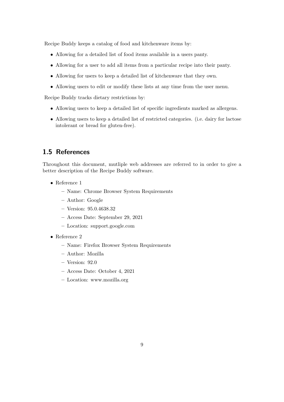[Recipe Buddy](#page-47-1) keeps a catalog of food and kitchenware items by:

- Allowing for a detailed list of food items available in a users panty.
- Allowing for a user to add all items from a particular recipe into their panty.
- Allowing for users to keep a detailed list of kitchenware that they own.
- Allowing users to edit or modify these lists at any time from the user menu.

[Recipe Buddy](#page-47-1) tracks dietary restrictions by:

- Allowing users to keep a detailed list of specific ingredients marked as allergens.
- Allowing users to keep a detailed list of restricted categories. (i.e. dairy for lactose intolerant or bread for gluten-free).

#### <span id="page-8-0"></span>1.5 References

Throughout this document, mutliple web addresses are referred to in order to give a better description of the [Recipe Buddy](#page-47-1) software.

- Reference 1
	- Name: Chrome Browser System Requirements
	- Author: Google
	- Version: 95.0.4638.32
	- Access Date: September 29, 2021
	- Location: [support.google.com](https://support.google.com/chrome/a/answer/7100626?hl=en)
- Reference 2
	- Name: Firefox Browser System Requirements
	- Author: Mozilla
	- Version: 92.0
	- Access Date: October 4, 2021
	- Location: [www.mozilla.org](https://www.mozilla.org/en-US/firefox/92.0.1/system-requirements/)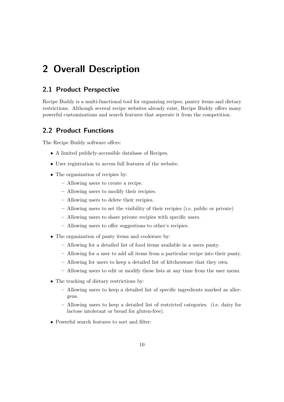# <span id="page-9-0"></span>2 Overall Description

#### <span id="page-9-1"></span>2.1 Product Perspective

[Recipe Buddy](#page-47-1) is a multi-functional tool for organizing recipes, pantry items and dietary restrictions. Although several recipe websites already exist, [Recipe Buddy](#page-47-1) offers many powerful customizations and search features that seperate it from the competition.

#### <span id="page-9-2"></span>2.2 Product Functions

The [Recipe Buddy](#page-47-1) software offers:

- A limited publicly-accessible database of Recipes.
- User registration to access full features of the website.
- The organization of recipies by:
	- Allowing users to create a recipe.
	- Allowing users to modify their recipies.
	- Allowing users to delete their recipies.
	- Allowing users to set the visibility of their recipies (i.e. public or private)
	- Allowing users to share private recipies with specific users.
	- Allowing users to offer suggestions to other's recipies.
- The organization of panty items and cookware by:
	- Allowing for a detailed list of food items available in a users panty.
	- Allowing for a user to add all items from a particular recipe into their panty.
	- Allowing for users to keep a detailed list of kitchenware that they own.
	- Allowing users to edit or modify these lists at any time from the user menu.
- The tracking of dietary restrictions by:
	- Allowing users to keep a detailed list of specific ingredients marked as allergens.
	- Allowing users to keep a detailed list of restricted categories. (i.e. dairy for lactose intolerant or bread for gluten-free).
- Powerful search features to sort and filter: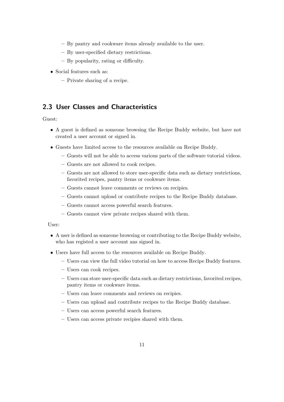- By pantry and cookware items already available to the user.
- By user-specified dietary restrictions.
- By popularity, rating or difficulty.
- Social features such as:
	- Private sharing of a recipe.

# <span id="page-10-0"></span>2.3 User Classes and Characteristics

Guest:

- A guest is defined as someone browsing the [Recipe Buddy](#page-47-1) website, but have not created a user account or signed in.
- Guests have limited access to the resources available on [Recipe Buddy.](#page-47-1)
	- Guests will not be able to access various parts of the software tutorial videos.
	- Guests are not allowed to cook recipes.
	- Guests are not allowed to store user-specific data such as dietary restrictions, favorited recipes, pantry items or cookware items.
	- Guests cannot leave comments or reviews on recipies.
	- Guests cannot upload or contribute recipes to the [Recipe Buddy](#page-47-1) database.
	- Guests cannot access powerful search features.
	- Guests cannot view private recipes shared with them.

User:

- A user is defined as someone browsing or contributing to the [Recipe Buddy](#page-47-1) website, who has registed a user account ans signed in.
- Users have full access to the resources available on [Recipe Buddy.](#page-47-1)
	- Users can view the full video tutorial on how to access [Recipe Buddy](#page-47-1) features.
	- Users can cook recipes.
	- Users can store user-specific data such as dietary restrictions, favorited recipes, pantry items or cookware items.
	- Users can leave comments and reviews on recipies.
	- Users can upload and contribute recipes to the [Recipe Buddy](#page-47-1) database.
	- Users can access powerful search features.
	- Users can access private recipies shared with them.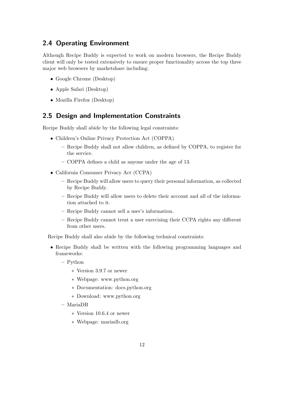# <span id="page-11-2"></span><span id="page-11-0"></span>2.4 Operating Environment

Although [Recipe Buddy](#page-47-1) is expected to work on modern browsers, the [Recipe Buddy](#page-47-1) client will only be tested extensively to ensure proper functionality across the top three major web browsers by marketshare including:

- Google Chrome (Desktop)
- Apple Safari (Desktop)
- Mozilla Firefox (Desktop)

#### <span id="page-11-1"></span>2.5 Design and Implementation Constraints

[Recipe Buddy](#page-47-1) shall abide by the following legal constraints:

- Children's Online Privacy Protection Act [\(COPPA\)](#page-46-3)
	- [Recipe Buddy](#page-47-1) shall not allow children, as defined by [COPPA,](#page-46-3) to register for the service.
	- [COPPA](#page-46-3) defines a child as anyone under the age of 13.
- California Consumer Privacy Act [\(CCPA\)](#page-46-4)
	- [Recipe Buddy](#page-47-1) will allow users to query their personal information, as collected by [Recipe Buddy.](#page-47-1)
	- [Recipe Buddy](#page-47-1) will allow users to delete their account and all of the information attached to it.
	- [Recipe Buddy](#page-47-1) cannot sell a user's information.
	- [Recipe Buddy](#page-47-1) cannot treat a user exercising their [CCPA](#page-46-4) rights any different from other users.

[Recipe Buddy](#page-47-1) shall also abide by the following technical constraints:

- [Recipe Buddy](#page-47-1) shall be written with the following programming languages and frameworks:
	- [Python](#page-47-2)
		- ∗ Version 3.9.7 or newer
		- ∗ Webpage: [www.python.org](https://www.python.org/)
		- ∗ [Documentation:](#page-46-2) [docs.python.org](https://docs.python.org/3.9/)
		- ∗ Download: [www.python.org](https://www.python.org/downloads/release/python-397/)
	- [MariaDB](#page-46-5)
		- ∗ Version 10.6.4 or newer
		- ∗ Webpage: [mariadb.org](https://mariadb.org/)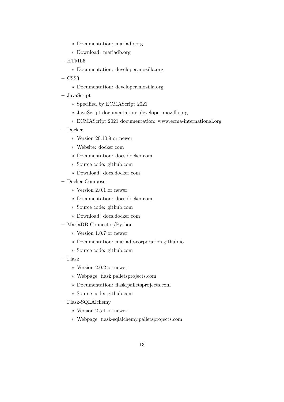- <span id="page-12-0"></span>∗ [Documentation:](#page-46-2) [mariadb.org](https://mariadb.com/kb/en/)
- ∗ Download: [mariadb.org](https://mariadb.org/download/?tab=mariadb&release=10.6.4&product=mariadb)
- $-$  [HTML5](#page-46-6)
	- ∗ [Documentation:](#page-46-2) [developer.mozilla.org](https://developer.mozilla.org/en-US/docs/Web/HTML)
- $-$  [CSS3](#page-46-7)
	- ∗ [Documentation:](#page-46-2) [developer.mozilla.org](https://developer.mozilla.org/en-US/docs/Web/CSS)
- [JavaScript](#page-46-8)
	- ∗ Specified by [ECMAScript](#page-46-9) 2021
	- ∗ [JavaScript](#page-46-8) [documentation:](#page-46-2) [developer.mozilla.org](https://developer.mozilla.org/en-US/docs/Web/JavaScript)
	- ∗ [ECMAScript](#page-46-9) 2021 [documentation:](#page-46-2) [www.ecma-international.org](https://www.ecma-international.org/wp-content/uploads/ECMA-262_12th_edition_june_2021.pdf)
- [Docker](#page-46-10)
	- ∗ Version 20.10.9 or newer
	- ∗ Website: [docker.com](https://www.docker.com/)
	- ∗ [Documentation:](#page-46-2) [docs.docker.com](https://docs.docker.com/get-started/overview/)
	- ∗ Source code: [github.com](https://github.com/moby/moby)
	- ∗ Download: [docs.docker.com](https://docs.docker.com/get-docker/)
- [Docker Compose](#page-46-11)
	- ∗ Version 2.0.1 or newer
	- ∗ [Documentation:](#page-46-2) [docs.docker.com](https://docs.docker.com/compose/)
	- ∗ Source code: [github.com](https://github.com/docker/compose)
	- ∗ Download: [docs.docker.com](https://docs.docker.com/compose/install/)
- [MariaDB](#page-46-5) Connector[/Python](#page-47-2)
	- ∗ Version 1.0.7 or newer
	- ∗ [Documentation:](#page-46-2) [mariadb-corporation.github.io](https://mariadb-corporation.github.io/mariadb-connector-python/)
	- ∗ Source code: [github.com](https://github.com/mariadb-corporation/mariadb-connector-python)
- [Flask](#page-46-12)
	- ∗ Version 2.0.2 or newer
	- ∗ Webpage: [flask.palletsprojects.com](https://flask.palletsprojects.com/en/2.0.x/)
	- ∗ [Documentation:](#page-46-2) [flask.palletsprojects.com](https://flask.palletsprojects.com/en/2.0.x/api/)
	- ∗ Source code: [github.com](https://github.com/pallets/flask)
- [Flask-](#page-46-12)SQLAlchemy
	- ∗ Version 2.5.1 or newer
	- ∗ Webpage: [flask-sqlalchemy.palletsprojects.com](https://flask-sqlalchemy.palletsprojects.com/en/2.x/)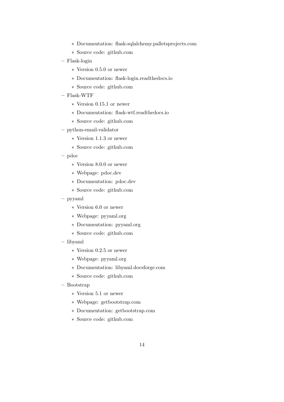- <span id="page-13-0"></span>∗ [Documentation:](#page-46-2) [flask-sqlalchemy.palletsprojects.com](https://flask-sqlalchemy.palletsprojects.com/en/2.x/api/)
- ∗ Source code: [github.com](https://github.com/pallets/flask-sqlalchemy)
- [Flask-](#page-46-12)login
	- ∗ Version 0.5.0 or newer
	- ∗ [Documentation:](#page-46-2) [flask-login.readthedocs.io](https://flask-login.readthedocs.io/en/latest/)
	- ∗ Source code: [github.com](https://github.com/maxcountryman/flask-login)
- [Flask-](#page-46-12)WTF
	- ∗ Version 0.15.1 or newer
	- ∗ [Documentation:](#page-46-2) [flask-wtf.readthedocs.io](https://flask-wtf.readthedocs.io/en/0.15.x/)
	- ∗ Source code: [github.com](https://github.com/wtforms/flask-wtf)
- python-email-validator
	- ∗ Version 1.1.3 or newer
	- ∗ Source code: [github.com](https://github.com/JoshData/python-email-validator)
- pdoc
	- ∗ Version 8.0.0 or newer
	- ∗ Webpage: [pdoc.dev](https://pdoc.dev/)
	- ∗ [Documentation:](#page-46-2) [pdoc.dev](https://pdoc.dev/docs/pdoc.html)
	- ∗ Source code: [github.com](https://github.com/mitmproxy/pdoc)
- pyyaml
	- ∗ Version 6.0 or newer
	- ∗ Webpage: [pyyaml.org](https://pyyaml.org/)
	- ∗ [Documentation:](#page-46-2) [pyyaml.org](https://pyyaml.org/wiki/PyYAMLDocumentation)
	- ∗ Source code: [github.com](https://github.com/yaml/pyyaml)
- libyaml
	- ∗ Version 0.2.5 or newer
	- ∗ Webpage: [pyyaml.org](https://pyyaml.org/wiki/LibYAML)
	- ∗ [Documentation:](#page-46-2) [libyaml.docsforge.com](https://libyaml.docsforge.com/)
	- ∗ Source code: [github.com](https://github.com/yaml/libyaml)
- [Bootstrap](#page-46-13)
	- ∗ Version 5.1 or newer
	- ∗ Webpage: [getbootstrap.com](https://getbootstrap.com/)
	- ∗ [Documentation:](#page-46-2) [getbootstrap.com](https://getbootstrap.com/docs/5.1/getting-started/introduction/)
	- ∗ Source code: [github.com](https://github.com/twbs/bootstrap)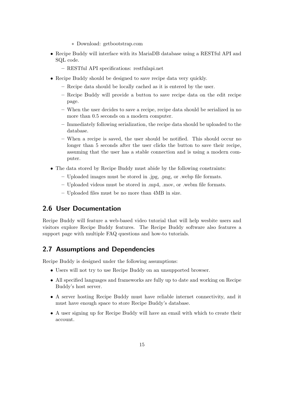- ∗ Download: [getbootstrap.com](https://getbootstrap.com/docs/5.1/getting-started/download/)
- <span id="page-14-2"></span>• [Recipe Buddy](#page-47-1) will interface with its [MariaDB](#page-46-5) database using a [RESTful API](#page-47-3) and [SQL](#page-47-4) code.
	- [RESTful API](#page-47-3) specifications: [restfulapi.net](https://restfulapi.net/)
- [Recipe Buddy](#page-47-1) should be designed to save recipe data very quickly.
	- Recipe data should be locally cached as it is entered by the user.
	- [Recipe Buddy](#page-47-1) will provide a button to save recipe data on the edit recipe page.
	- When the user decides to save a recipe, recipe data should be [serialized](#page-47-5) in no more than 0.5 seconds on a modern computer.
	- Immediately following [serialization,](#page-47-6) the recipe data should be uploaded to the database.
	- When a recipe is saved, the user should be notified. This should occur no longer than 5 seconds after the user clicks the button to save their recipe, assuming that the user has a stable connection and is using a modern computer.
- The data stored by [Recipe Buddy](#page-47-1) must abide by the following constraints:
	- Uploaded images must be stored in .jpg, .png, or .webp file formats.
	- Uploaded videos must be stored in .mp4, .mov, or .webm file formats.
	- Uploaded files must be no more than 4MB in size.

# <span id="page-14-0"></span>2.6 User Documentation

[Recipe Buddy](#page-47-1) will feature a web-based video tutorial that will help wesbite users and visitors explore [Recipe Buddy](#page-47-1) features. The [Recipe Buddy](#page-47-1) software also features a support page with multiple FAQ questions and how-to tutorials.

#### <span id="page-14-1"></span>2.7 Assumptions and Dependencies

[Recipe Buddy](#page-47-1) is designed under the following assumptions:

- Users will not try to use [Recipe Buddy](#page-47-1) on an unsupported browser.
- All specified languages and frameworks are fully up to date and working on [Recipe](#page-47-1) [Buddy'](#page-47-1)s host server.
- A server hosting [Recipe Buddy](#page-47-1) must have reliable internet connectivity, and it must have enough space to store [Recipe Buddy'](#page-47-1)s database.
- A user signing up for [Recipe Buddy](#page-47-1) will have an email with which to create their account.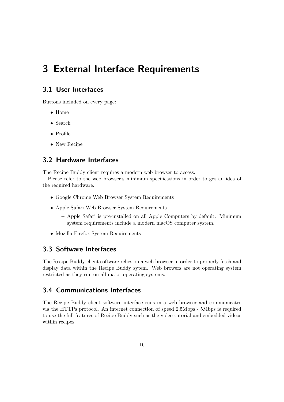# <span id="page-15-5"></span><span id="page-15-0"></span>3 External Interface Requirements

# <span id="page-15-1"></span>3.1 User Interfaces

Buttons included on every page:

- Home
- Search
- Profile
- New Recipe

# <span id="page-15-2"></span>3.2 Hardware Interfaces

The Recipe Buddy client requires a modern web browser to access.

Please refer to the web browser's minimum specifications in order to get an idea of the required hardware.

- [Google Chrome Web Browser System Requirements](https://support.google.com/chrome/a/answer/7100626?hl=en)
- Apple Safari Web Browser System Requirements
	- Apple Safari is pre-installed on all Apple Computers by default. Minimum system requirements include a modern macOS computer system.
- [Mozilla Firefox System Requirements](https://www.mozilla.org/en-US/firefox/92.0.1/system-requirements/)

# <span id="page-15-3"></span>3.3 Software Interfaces

The [Recipe Buddy](#page-47-1) client software relies on a web browser in order to properly fetch and display data within the [Recipe Buddy](#page-47-1) sytem. Web browers are not operating system restricted as they run on all major operating systems.

# <span id="page-15-4"></span>3.4 Communications Interfaces

The [Recipe Buddy](#page-47-1) client software interface runs in a web browser and communicates via the [HTTPs](#page-46-14) protocol. An internet connection of speed 2.5Mbps - 5Mbps is required to use the full features of [Recipe Buddy](#page-47-1) such as the video tutorial and embedded videos within recipes.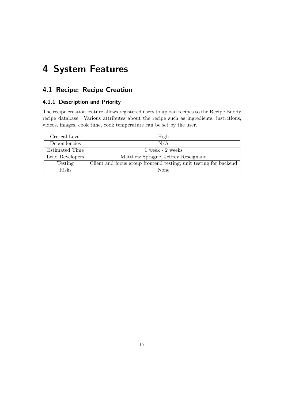# <span id="page-16-3"></span><span id="page-16-0"></span>4 System Features

# <span id="page-16-1"></span>4.1 Recipe: Recipe Creation

#### <span id="page-16-2"></span>4.1.1 Description and Priority

The recipe creation feature allows registered users to upload recipes to the [Recipe Buddy](#page-47-1) recipe database. Various attributes about the recipe such as ingredients, instrctions, videos, images, cook time, cook temperature can be set by the user.

| Critical Level  | High                                                              |
|-----------------|-------------------------------------------------------------------|
| Dependencies    | N/A                                                               |
| Estimated Time  | $1$ week - $2$ weeks                                              |
| Lead Developers | Matthew Sprague, Jeffrey Rescignano                               |
| Testing         | Client and focus group frontend testing, unit testing for backend |
| <b>Risks</b>    | None                                                              |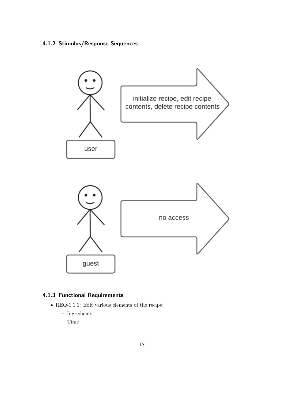# <span id="page-17-2"></span><span id="page-17-0"></span>4.1.2 Stimulus/Response Sequences



#### <span id="page-17-1"></span>4.1.3 [Functional Requirements](#page-46-0)

- REQ-1.1.1: Edit various elements of the recipe:
	- Ingredients
	- Time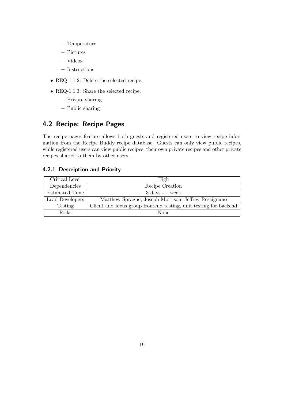- <span id="page-18-2"></span>– Temperature
- Pictures
- Videos
- Instructions
- REQ-1.1.2: Delete the selected recipe.
- REQ-1.1.3: Share the selected recipe:
	- Private sharing
	- Public sharing

# <span id="page-18-0"></span>4.2 Recipe: Recipe Pages

The recipe pages feature allows both guests and registered users to view recipe information from the [Recipe Buddy](#page-47-1) recipe database. Guests can only view public recipes, while registered users can view public recipes, their own private recipes and other private recipes shared to them by other users.

#### <span id="page-18-1"></span>4.2.1 Description and Priority

| Critical Level  | High                                                              |
|-----------------|-------------------------------------------------------------------|
| Dependencies    | Recipe Creation                                                   |
| Estimated Time  | $3 \text{ days} - 1 \text{ week}$                                 |
| Lead Developers | Matthew Sprague, Joseph Morrison, Jeffrey Rescignano              |
| Testing         | Client and focus group frontend testing, unit testing for backend |
| <b>Risks</b>    | None                                                              |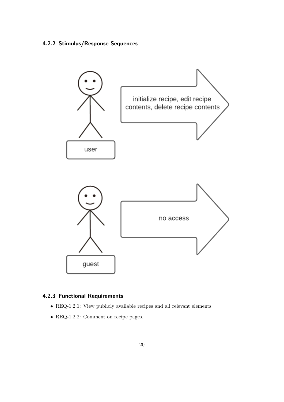# <span id="page-19-2"></span><span id="page-19-0"></span>4.2.2 Stimulus/Response Sequences



### <span id="page-19-1"></span>4.2.3 [Functional Requirements](#page-46-0)

- REQ-1.2.1: View publicly available recipes and all relevant elements.
- REQ-1.2.2: Comment on recipe pages.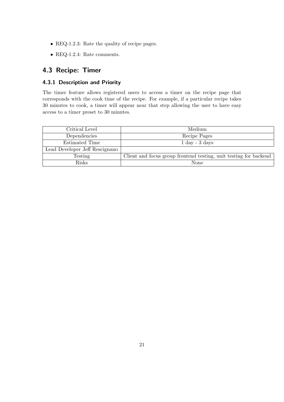- <span id="page-20-2"></span>• REQ-1.2.3: Rate the quality of recipe pages.
- $\bullet$  REQ-1.2.4: Rate comments.

# <span id="page-20-0"></span>4.3 Recipe: Timer

#### <span id="page-20-1"></span>4.3.1 Description and Priority

The timer feature allows registered users to access a timer on the recipe page that corresponds with the cook time of the recipe. For example, if a particular recipe takes 30 minutes to cook, a timer will appear near that step allowing the user to have easy access to a timer preset to 30 minutes.

| Critical Level                 | Medium                                                            |
|--------------------------------|-------------------------------------------------------------------|
| Dependencies                   | Recipe Pages                                                      |
| Estimated Time                 | $1 \mathrm{day} - 3 \mathrm{days}$                                |
| Lead Developer Jeff Rescignano |                                                                   |
| Testing                        | Client and focus group frontend testing, unit testing for backend |
| <b>Risks</b>                   | None                                                              |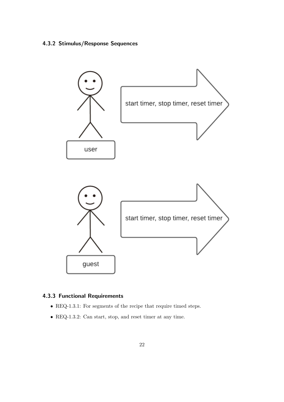# <span id="page-21-2"></span><span id="page-21-0"></span>4.3.2 Stimulus/Response Sequences



#### <span id="page-21-1"></span>4.3.3 [Functional Requirements](#page-46-0)

- REQ-1.3.1: For segments of the recipe that require timed steps.
- REQ-1.3.2: Can start, stop, and reset timer at any time.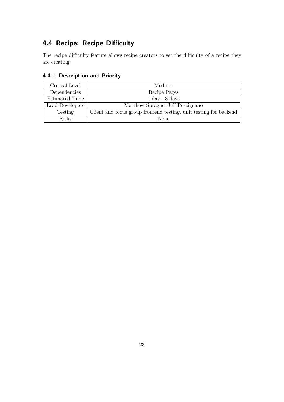# <span id="page-22-2"></span><span id="page-22-0"></span>4.4 Recipe: Recipe Difficulty

The recipe difficulty feature allows recipe creators to set the difficulty of a recipe they are creating.

#### <span id="page-22-1"></span>4.4.1 Description and Priority

| Critical Level  | Medium                                                            |
|-----------------|-------------------------------------------------------------------|
| Dependencies    | Recipe Pages                                                      |
| Estimated Time  | $1 \mathrm{day} - 3 \mathrm{days}$                                |
| Lead Developers | Matthew Sprague, Jeff Rescignano                                  |
| Testing         | Client and focus group frontend testing, unit testing for backend |
| <b>Risks</b>    | None                                                              |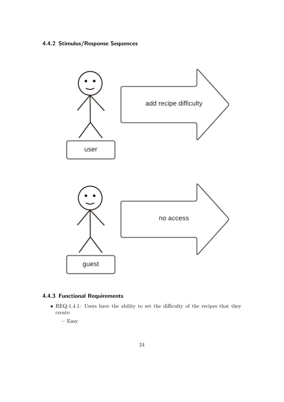# <span id="page-23-2"></span><span id="page-23-0"></span>4.4.2 Stimulus/Response Sequences



#### <span id="page-23-1"></span>4.4.3 [Functional Requirements](#page-46-0)

- REQ-1.4.1: Users have the ability to set the difficulty of the recipes that they create:
	- Easy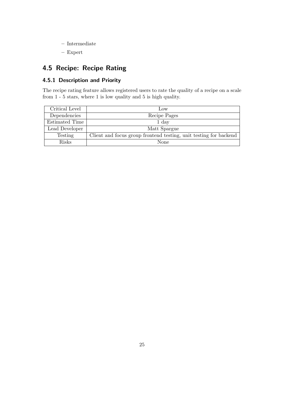- <span id="page-24-2"></span>– Intermediate
- Expert

# <span id="page-24-0"></span>4.5 Recipe: Recipe Rating

#### <span id="page-24-1"></span>4.5.1 Description and Priority

The recipe rating feature allows registered users to rate the quality of a recipe on a scale from 1 - 5 stars, where 1 is low quality and 5 is high quality.

| Critical Level | $_{\text{LOW}}$                                                   |
|----------------|-------------------------------------------------------------------|
| Dependencies   | Recipe Pages                                                      |
| Estimated Time | 1 day                                                             |
| Lead Developer | Matt Spargue                                                      |
| Testing        | Client and focus group frontend testing, unit testing for backend |
| <b>Risks</b>   | None                                                              |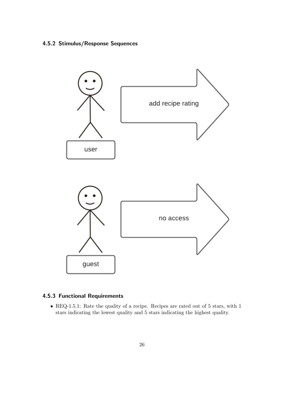#### <span id="page-25-2"></span><span id="page-25-0"></span>4.5.2 Stimulus/Response Sequences



### <span id="page-25-1"></span>4.5.3 [Functional Requirements](#page-46-0)

• REQ-1.5.1: Rate the quality of a recipe. Recipes are rated out of 5 stars, with 1 stars indicating the lowest quality and 5 stars indicating the highest quality.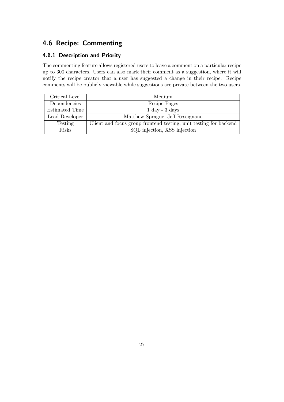# <span id="page-26-2"></span><span id="page-26-0"></span>4.6 Recipe: Commenting

#### <span id="page-26-1"></span>4.6.1 Description and Priority

The commenting feature allows registered users to leave a comment on a particular recipe up to 300 characters. Users can also mark their comment as a suggestion, where it will notify the recipe creator that a user has suggested a change in their recipe. Recipe comments will be publicly viewable while suggestions are private between the two users.

| Critical Level | Medium                                                            |
|----------------|-------------------------------------------------------------------|
| Dependencies   | Recipe Pages                                                      |
| Estimated Time | $1 \mathrm{day} - 3 \mathrm{days}$                                |
| Lead Developer | Matthew Sprague, Jeff Rescignano                                  |
| Testing        | Client and focus group frontend testing, unit testing for backend |
| <b>Risks</b>   | SQL injection, XSS injection                                      |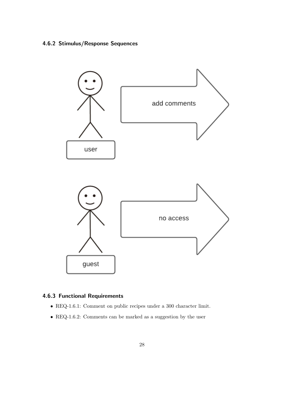# <span id="page-27-2"></span><span id="page-27-0"></span>4.6.2 Stimulus/Response Sequences



### <span id="page-27-1"></span>4.6.3 [Functional Requirements](#page-46-0)

- REQ-1.6.1: Comment on public recipes under a 300 character limit.
- REQ-1.6.2: Comments can be marked as a suggestion by the user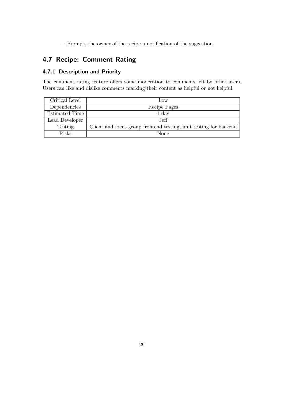<span id="page-28-2"></span>– Prompts the owner of the recipe a notification of the suggestion.

# <span id="page-28-0"></span>4.7 Recipe: Comment Rating

#### <span id="page-28-1"></span>4.7.1 Description and Priority

The comment rating feature offers some moderation to comments left by other users. Users can like and dislike comments marking their content as helpful or not helpful.

| Critical Level | LOW                                                               |
|----------------|-------------------------------------------------------------------|
| Dependencies   | Recipe Pages                                                      |
| Estimated Time | 1 day                                                             |
| Lead Developer | $J$ eff.                                                          |
| Testing        | Client and focus group frontend testing, unit testing for backend |
| Risks          | None                                                              |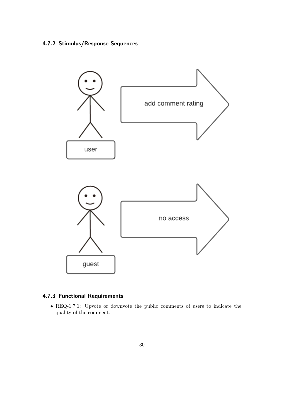# <span id="page-29-2"></span><span id="page-29-0"></span>4.7.2 Stimulus/Response Sequences



### <span id="page-29-1"></span>4.7.3 [Functional Requirements](#page-46-0)

• REQ-1.7.1: Upvote or downvote the public comments of users to indicate the quality of the comment.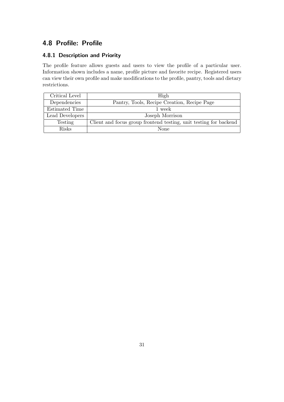# <span id="page-30-2"></span><span id="page-30-0"></span>4.8 Profile: Profile

# <span id="page-30-1"></span>4.8.1 Description and Priority

The profile feature allows guests and users to view the profile of a particular user. Information shown includes a name, profile picture and favorite recipe. Registered users can view their own profile and make modifications to the profile, pantry, tools and dietary restrictions.

| Critical Level        | High                                                              |
|-----------------------|-------------------------------------------------------------------|
| Dependencies          | Pantry, Tools, Recipe Creation, Recipe Page                       |
| <b>Estimated Time</b> | 1 week                                                            |
| Lead Developers       | Joseph Morrison                                                   |
| Testing               | Client and focus group frontend testing, unit testing for backend |
| <b>Risks</b>          | None                                                              |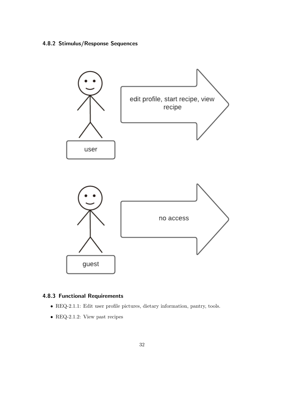# <span id="page-31-2"></span><span id="page-31-0"></span>4.8.2 Stimulus/Response Sequences



#### <span id="page-31-1"></span>4.8.3 [Functional Requirements](#page-46-0)

- REQ-2.1.1: Edit user profile pictures, dietary information, pantry, tools.
- REQ-2.1.2: View past recipes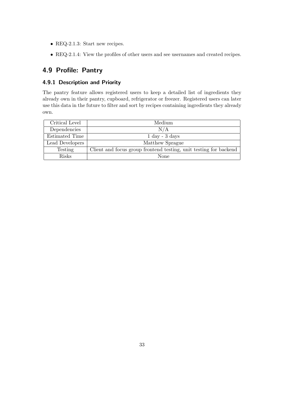- <span id="page-32-2"></span> $\bullet$  REQ-2.1.3: Start new recipes.
- REQ-2.1.4: View the profiles of other users and see usernames and created recipes.

# <span id="page-32-0"></span>4.9 Profile: Pantry

#### <span id="page-32-1"></span>4.9.1 Description and Priority

The pantry feature allows registered users to keep a detailed list of ingredients they already own in their pantry, cupboard, refrigerator or freezer. Registered users can later use this data in the future to filter and sort by recipes containing ingredients they already own.

| Critical Level  | Medium                                                            |
|-----------------|-------------------------------------------------------------------|
| Dependencies    | N/A                                                               |
| Estimated Time  | $1 \mathrm{day} - 3 \mathrm{days}$                                |
| Lead Developers | Matthew Sprague                                                   |
| <b>Testing</b>  | Client and focus group frontend testing, unit testing for backend |
| Risks           | None                                                              |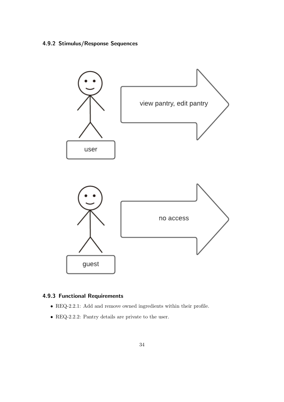# <span id="page-33-2"></span><span id="page-33-0"></span>4.9.2 Stimulus/Response Sequences



#### <span id="page-33-1"></span>4.9.3 [Functional Requirements](#page-46-0)

- REQ-2.2.1: Add and remove owned ingredients within their profile.
- REQ-2.2.2: Pantry details are private to the user.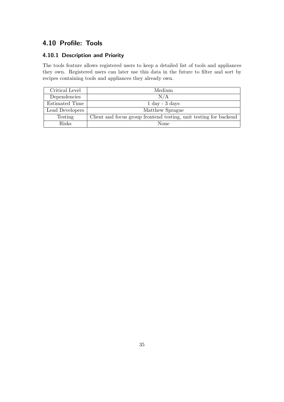# <span id="page-34-2"></span><span id="page-34-0"></span>4.10 Profile: Tools

# <span id="page-34-1"></span>4.10.1 Description and Priority

The tools feature allows registered users to keep a detailed list of tools and appliances they own. Registered users can later use this data in the future to filter and sort by recipes containing tools and appliances they already own.

| Critical Level  | Medium                                                            |
|-----------------|-------------------------------------------------------------------|
| Dependencies    | N/A                                                               |
| Estimated Time  | $1 \mathrm{day} - 3 \mathrm{days}$                                |
| Lead Developers | Matthew Sprague                                                   |
| Testing         | Client and focus group frontend testing, unit testing for backend |
| <b>Risks</b>    | None                                                              |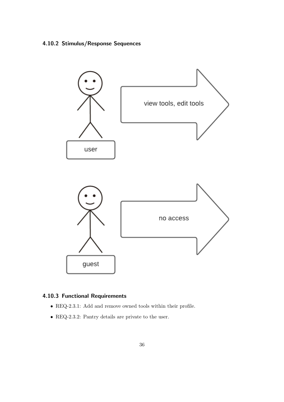# <span id="page-35-2"></span><span id="page-35-0"></span>4.10.2 Stimulus/Response Sequences



#### <span id="page-35-1"></span>4.10.3 [Functional Requirements](#page-46-0)

- $\bullet$  REQ-2.3.1: Add and remove owned tools within their profile.
- REQ-2.3.2: Pantry details are private to the user.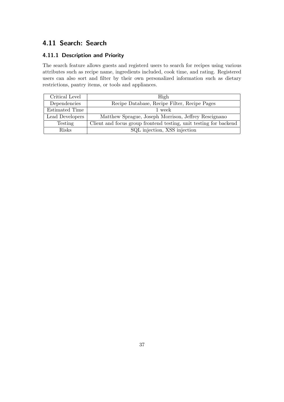# <span id="page-36-2"></span><span id="page-36-0"></span>4.11 Search: Search

#### <span id="page-36-1"></span>4.11.1 Description and Priority

The search feature allows guests and registerd users to search for recipes using various attributes such as recipe name, ingredients included, cook time, and rating. Registered users can also sort and filter by their own personalized information such as dietary restrictions, pantry items, or tools and appliances.

| Critical Level  | High                                                              |
|-----------------|-------------------------------------------------------------------|
| Dependencies    | Recipe Database, Recipe Filter, Recipe Pages                      |
| Estimated Time  | 1 week                                                            |
| Lead Developers | Matthew Sprague, Joseph Morrison, Jeffrey Rescignano              |
| Testing         | Client and focus group frontend testing, unit testing for backend |
| <b>Risks</b>    | SQL injection, XSS injection                                      |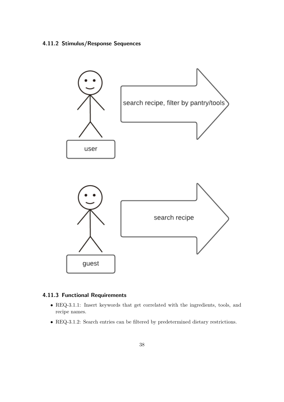#### <span id="page-37-2"></span><span id="page-37-0"></span>4.11.2 Stimulus/Response Sequences



#### <span id="page-37-1"></span>4.11.3 [Functional Requirements](#page-46-0)

- REQ-3.1.1: Insert keywords that get correlated with the ingredients, tools, and recipe names.
- REQ-3.1.2: Search entries can be filtered by predetermined dietary restrictions.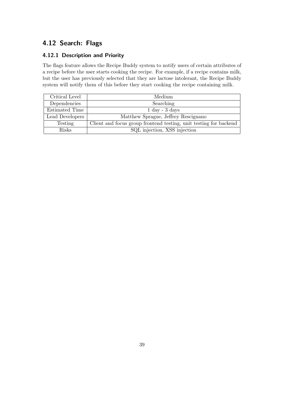# <span id="page-38-2"></span><span id="page-38-0"></span>4.12 Search: Flags

#### <span id="page-38-1"></span>4.12.1 Description and Priority

The flags feature allows the [Recipe Buddy](#page-47-1) system to notify users of certain attributes of a recipe before the user starts cooking the recipe. For example, if a recipe contains milk, but the user has previously selected that they are lactose intolerant, the [Recipe Buddy](#page-47-1) system will notify them of this before they start cooking the recipe containing milk.

| Critical Level  | Medium                                                            |
|-----------------|-------------------------------------------------------------------|
| Dependencies    | Searching                                                         |
| Estimated Time  | $1 \mathrm{day} - 3 \mathrm{days}$                                |
| Lead Developers | Matthew Sprague, Jeffrey Rescignano                               |
| Testing         | Client and focus group frontend testing, unit testing for backend |
| <b>Risks</b>    | SQL injection, XSS injection                                      |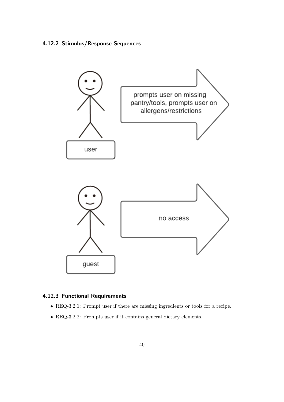#### <span id="page-39-2"></span><span id="page-39-0"></span>4.12.2 Stimulus/Response Sequences



### <span id="page-39-1"></span>4.12.3 [Functional Requirements](#page-46-0)

- REQ-3.2.1: Prompt user if there are missing ingredients or tools for a recipe.
- REQ-3.2.2: Prompts user if it contains general dietary elements.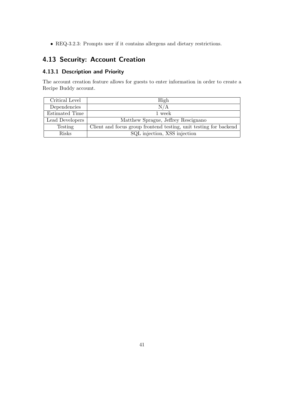<span id="page-40-2"></span>• REQ-3.2.3: Prompts user if it contains allergens and dietary restrictions.

# <span id="page-40-0"></span>4.13 Security: Account Creation

#### <span id="page-40-1"></span>4.13.1 Description and Priority

The account creation feature allows for guests to enter information in order to create a [Recipe Buddy](#page-47-1) account.

| Critical Level  | High                                                              |
|-----------------|-------------------------------------------------------------------|
| Dependencies    | N/A                                                               |
| Estimated Time  | 1 week                                                            |
| Lead Developers | Matthew Sprague, Jeffrey Rescignano                               |
| Testing         | Client and focus group frontend testing, unit testing for backend |
| <b>Risks</b>    | SQL injection, XSS injection                                      |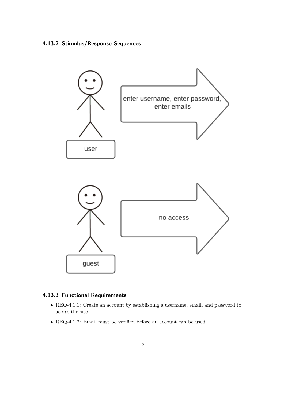# <span id="page-41-2"></span><span id="page-41-0"></span>4.13.2 Stimulus/Response Sequences



#### <span id="page-41-1"></span>4.13.3 [Functional Requirements](#page-46-0)

- REQ-4.1.1: Create an account by establishing a username, email, and password to access the site.
- REQ-4.1.2: Email must be verified before an account can be used.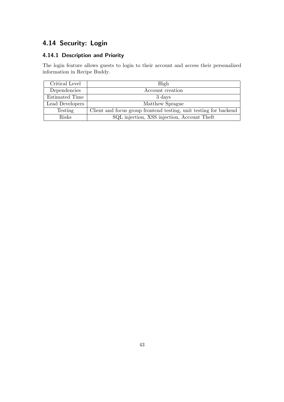# <span id="page-42-2"></span><span id="page-42-0"></span>4.14 Security: Login

# <span id="page-42-1"></span>4.14.1 Description and Priority

The login feature allows guests to login to their account and access their personalized information in [Recipe Buddy.](#page-47-1)

| Critical Level  | High                                                              |
|-----------------|-------------------------------------------------------------------|
| Dependencies    | Account creation                                                  |
| Estimated Time  | 3 days                                                            |
| Lead Developers | Matthew Sprague                                                   |
| Testing         | Client and focus group frontend testing, unit testing for backend |
| <b>Risks</b>    | SQL injection, XSS injection, Account Theft                       |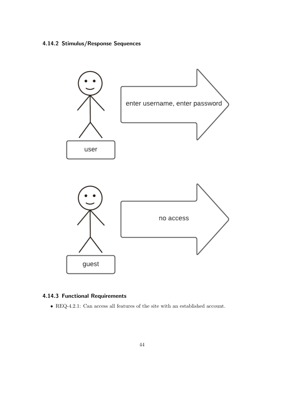# <span id="page-43-2"></span><span id="page-43-0"></span>4.14.2 Stimulus/Response Sequences



### <span id="page-43-1"></span>4.14.3 [Functional Requirements](#page-46-0)

 $\bullet$  REQ-4.2.1: Can access all features of the site with an established account.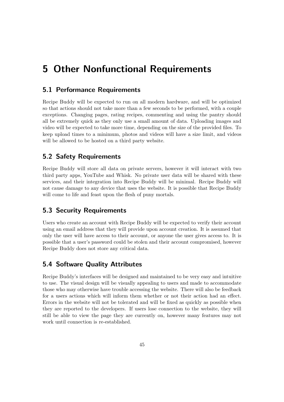# <span id="page-44-5"></span><span id="page-44-0"></span>5 Other [Nonfunctional Requirements](#page-47-0)

#### <span id="page-44-1"></span>5.1 Performance Requirements

[Recipe Buddy](#page-47-1) will be expected to run on all modern hardware, and will be optimized so that actions should not take more than a few seconds to be performed, with a couple exceptions. Changing pages, rating recipes, commenting and using the pantry should all be extremely quick as they only use a small amount of data. Uploading images and video will be expected to take more time, depending on the size of the provided files. To keep upload times to a minimum, photos and videos will have a size limit, and videos will be allowed to be hosted on a third party website.

#### <span id="page-44-2"></span>5.2 Safety Requirements

[Recipe Buddy](#page-47-1) will store all data on private servers, however it will interact with two third party apps, YouTube and Whisk. No private user data will be shared with these services, and their integration into [Recipe Buddy](#page-47-1) will be minimal. [Recipe Buddy](#page-47-1) will not cause damage to any device that uses the website. It is possible that [Recipe Buddy](#page-47-1) will come to life and feast upon the flesh of puny mortals.

#### <span id="page-44-3"></span>5.3 Security Requirements

Users who create an account with [Recipe Buddy](#page-47-1) will be expected to verify their account using an email address that they will provide upon account creation. It is assumed that only the user will have access to their account, or anyone the user gives access to. It is possible that a user's password could be stolen and their account compromised, however [Recipe Buddy](#page-47-1) does not store any critical data.

# <span id="page-44-4"></span>5.4 Software Quality Attributes

[Recipe Buddy'](#page-47-1)s interfaces will be designed and maintained to be very easy and intuitive to use. The visual design will be visually appealing to users and made to accommodate those who may otherwise have trouble accessing the website. There will also be feedback for a users actions which will inform them whether or not their action had an effect. Errors in the website will not be tolerated and will be fixed as quickly as possible when they are reported to the developers. If users lose connection to the website, they will still be able to view the page they are currently on, however many features may not work until connection is re-established.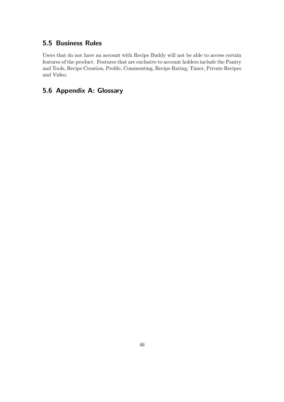# <span id="page-45-0"></span>5.5 Business Rules

Users that do not have an account with [Recipe Buddy](#page-47-1) will not be able to access certain features of the product. Features that are exclusive to account holders include the Pantry and Tools, Recipe Creation, Profile, Commenting, Recipe Rating, Timer, Private Recipes and Video.

# <span id="page-45-1"></span>5.6 Appendix A: Glossary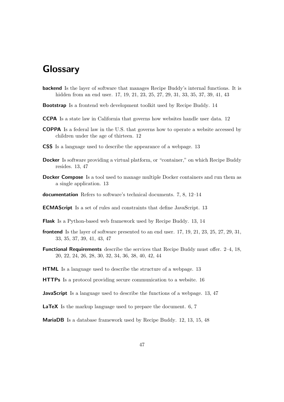# <span id="page-46-17"></span>**Glossary**

- <span id="page-46-16"></span>backend Is the layer of software that manages [Recipe Buddy'](#page-47-1)s internal functions. It is hidden from an end user. [17,](#page-16-3) [19,](#page-18-2) [21,](#page-20-2) [23,](#page-22-2) [25,](#page-24-2) [27,](#page-26-2) [29,](#page-28-2) [31,](#page-30-2) [33,](#page-32-2) [35,](#page-34-2) [37,](#page-36-2) [39,](#page-38-2) [41,](#page-40-2) [43](#page-42-2)
- <span id="page-46-13"></span>Bootstrap Is a [frontend](#page-46-15) web development toolkit used by [Recipe Buddy.](#page-47-1) [14](#page-13-0)
- <span id="page-46-4"></span>CCPA Is a state law in California that governs how websites handle user data. [12](#page-11-2)
- <span id="page-46-3"></span>COPPA Is a federal law in the U.S. that governs how to operate a website accessed by children under the age of thirteen. [12](#page-11-2)
- <span id="page-46-7"></span>CSS Is a language used to describe the appearance of a webpage. [13](#page-12-0)
- <span id="page-46-10"></span>Docker Is software providing a virtual platform, or "container," on which [Recipe Buddy](#page-47-1) resides. [13,](#page-12-0) [47](#page-46-17)
- <span id="page-46-11"></span>**[Docker](#page-46-10) Compose** Is a tool used to manage multiple Docker containers and run them as a single application. [13](#page-12-0)
- <span id="page-46-2"></span>documentation Refers to software's technical documents. [7,](#page-6-1) [8,](#page-7-2) 12-[14](#page-13-0)
- <span id="page-46-9"></span>ECMAScript Is a set of rules and constraints that define [JavaScript.](#page-46-8) [13](#page-12-0)
- <span id="page-46-12"></span>Flask Is a [Python-](#page-47-2)based web framework used by [Recipe Buddy.](#page-47-1) [13,](#page-12-0) [14](#page-13-0)
- <span id="page-46-15"></span>frontend Is the layer of software presented to an end user. [17,](#page-16-3) [19,](#page-18-2) [21,](#page-20-2) [23,](#page-22-2) [25,](#page-24-2) [27,](#page-26-2) [29,](#page-28-2) [31,](#page-30-2) [33,](#page-32-2) [35,](#page-34-2) [37,](#page-36-2) [39,](#page-38-2) [41,](#page-40-2) [43,](#page-42-2) [47](#page-46-17)
- <span id="page-46-0"></span>Functional Requirements describe the services that [Recipe Buddy](#page-47-1) must offer. [2–](#page-1-0)[4,](#page-3-0) [18,](#page-17-2) [20,](#page-19-2) [22,](#page-21-2) [24,](#page-23-2) [26,](#page-25-2) [28,](#page-27-2) [30,](#page-29-2) [32,](#page-31-2) [34,](#page-33-2) [36,](#page-35-2) [38,](#page-37-2) [40,](#page-39-2) [42,](#page-41-2) [44](#page-43-2)
- <span id="page-46-6"></span>HTML Is a language used to describe the structure of a webpage. [13](#page-12-0)
- <span id="page-46-14"></span>HTTPs Is a protocol providing secure communication to a website. [16](#page-15-5)
- <span id="page-46-8"></span>**JavaScript** Is a language used to describe the functions of a webpage. [13,](#page-12-0) [47](#page-46-17)
- <span id="page-46-1"></span>LaTeX Is the markup language used to prepare the document. [6,](#page-5-6) [7](#page-6-1)
- <span id="page-46-5"></span>MariaDB Is a database framework used by [Recipe Buddy.](#page-47-1) [12,](#page-11-2) [13,](#page-12-0) [15,](#page-14-2) [48](#page-47-10)